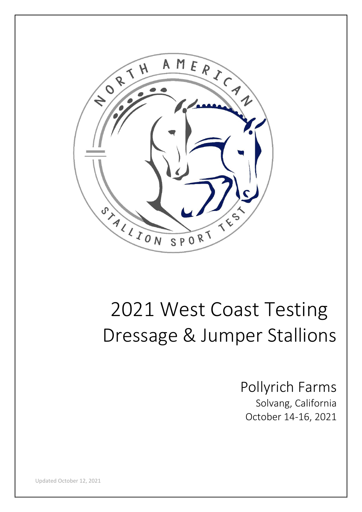

# 2021 West Coast Testing Dressage & Jumper Stallions

Pollyrich Farms Solvang, California October 14-16, 2021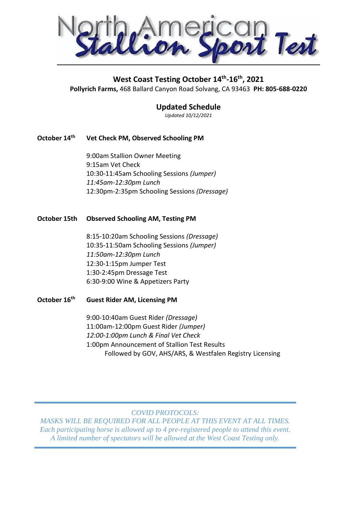Test

#### **West Coast Testing October 14th -16th, 2021**

**Pollyrich Farms,** 468 Ballard Canyon Road Solvang, CA 93463 **PH: 805-688-0220**

#### **Updated Schedule**

*Updated 10/12/2021*

#### **October 14th Vet Check PM, Observed Schooling PM**

9:00am Stallion Owner Meeting 9:15am Vet Check 10:30-11:45am Schooling Sessions *(Jumper) 11:45am-12:30pm Lunch* 12:30pm-2:35pm Schooling Sessions *(Dressage)*

#### **October 15th Observed Schooling AM, Testing PM**

8:15-10:20am Schooling Sessions *(Dressage)* 10:35-11:50am Schooling Sessions *(Jumper) 11:50am-12:30pm Lunch* 12:30-1:15pm Jumper Test 1:30-2:45pm Dressage Test 6:30-9:00 Wine & Appetizers Party

#### **October 16th Guest Rider AM, Licensing PM**

9:00-10:40am Guest Rider *(Dressage)* 11:00am-12:00pm Guest Rider *(Jumper) 12:00-1:00pm Lunch & Final Vet Check* 1:00pm Announcement of Stallion Test Results Followed by GOV, AHS/ARS, & Westfalen Registry Licensing

*COVID PROTOCOLS:* 

*MASKS WILL BE REQUIRED FOR ALL PEOPLE AT THIS EVENT AT ALL TIMES. Each participating horse is allowed up to 4 pre-registered people to attend this event. A limited number of spectators will be allowed at the West Coast Testing only.*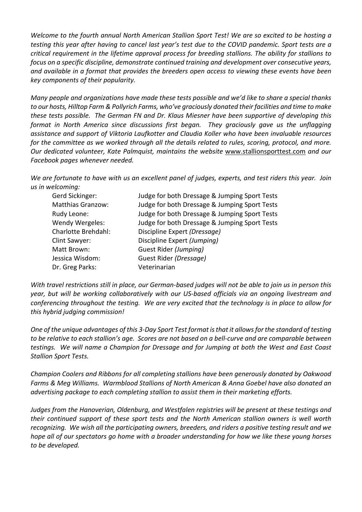*Welcome to the fourth annual North American Stallion Sport Test! We are so excited to be hosting a* testing this year after having to cancel last year's test due to the COVID pandemic. Sport tests are a *critical requirement in the lifetime approval process for breeding stallions. The ability for stallions to focus on a specific discipline, demonstrate continued training and development over consecutive years, and available in a format that provides the breeders open access to viewing these events have been key components of their popularity.*

*Many people and organizations have made these tests possible and we'd like to share a special thanks to our hosts, Hilltop Farm & Pollyrich Farms, who've graciously donated their facilities and time to make these tests possible. The German FN and Dr. Klaus Miesner have been supportive of developing this format in North America since discussions first began. They graciously gave us the unflagging assistance and support of Viktoria Laufkotter and Claudia Koller who have been invaluable resources for the committee as we worked through all the details related to rules, scoring, protocol, and more. Our dedicated volunteer, Kate Palmquist, maintains the website* www.stallionsporttest.com *and our Facebook pages whenever needed.*

We are fortunate to have with us an excellent panel of judges, experts, and test riders this year. Join *us in welcoming:*

| Gerd Sickinger:          | Judge for both Dressage & Jumping Sport Tests |
|--------------------------|-----------------------------------------------|
| <b>Matthias Granzow:</b> | Judge for both Dressage & Jumping Sport Tests |
| Rudy Leone:              | Judge for both Dressage & Jumping Sport Tests |
| Wendy Wergeles:          | Judge for both Dressage & Jumping Sport Tests |
| Charlotte Brehdahl:      | Discipline Expert (Dressage)                  |
| Clint Sawyer:            | Discipline Expert (Jumping)                   |
| Matt Brown:              | Guest Rider (Jumping)                         |
| Jessica Wisdom:          | Guest Rider (Dressage)                        |
| Dr. Greg Parks:          | Veterinarian                                  |

With travel restrictions still in place, our German-based judges will not be able to join us in person this *year, but will be working collaboratively with our US-based officials via an ongoing livestream and conferencing throughout the testing. We are very excited that the technology is in place to allow for this hybrid judging commission!*

One of the unique advantages of this 3-Day Sport Test format is that it allows for the standard of testing *to be relative to each stallion's age. Scores are not based on a bell-curve and are comparable between testings. We will name a Champion for Dressage and for Jumping at both the West and East Coast Stallion Sport Tests.*

*Champion Coolers and Ribbons for all completing stallions have been generously donated by Oakwood Farms & Meg Williams. Warmblood Stallions of North American & Anna Goebel have also donated an advertising package to each completing stallion to assist them in their marketing efforts.*

*Judges from the Hanoverian, Oldenburg, and Westfalen registries will be present at these testings and their continued support of these sport tests and the North American stallion owners is well worth recognizing. We wish all the participating owners, breeders, and riders a positive testing result and we hope all of our spectators go home with a broader understanding for how we like these young horses to be developed.*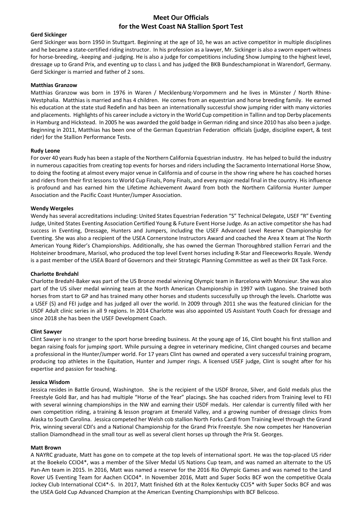#### **Meet Our Officials for the West Coast NA Stallion Sport Test**

#### **Gerd Sickinger**

Gerd Sickinger was born 1950 in Stuttgart. Beginning at the age of 10, he was an active competitor in multiple disciplines and he became a state-certified riding instructor. In his profession as a lawyer, Mr. Sickinger is also a sworn expert-witness for horse-breeding, -keeping and -judging. He is also a judge for competitions including Show Jumping to the highest level, dressage up to Grand Prix, and eventing up to class L and has judged the BKB Bundeschampionat in Warendorf, Germany. Gerd Sickinger is married and father of 2 sons.

#### **Matthias Granzow**

Matthias Granzow was born in 1976 in Waren / Mecklenburg-Vorpommern and he lives in Münster / North Rhine-Westphalia. Matthias is married and has 4 children. He comes from an equestrian and horse breeding family. He earned his education at the state stud Redefin and has been an internationally successful show jumping rider with many victories and placements. Highlights of his career include a victory in the World Cup competition in Tallinn and top Derby placements in Hamburg and Hickstead. In 2005 he was awarded the gold badge in German riding and since 2010 has also been a judge. Beginning in 2011, Matthias has been one of the German Equestrian Federation officials (judge, discipline expert, & test rider) for the Stallion Performance Tests.

#### **Rudy Leone**

For over 40 years Rudy has been a staple of the Northern California Equestrian industry. He has helped to build the industry in numerous capacities from creating top events for horses and riders including the Sacramento International Horse Show, to doing the footing at almost every major venue in California and of course in the show ring where he has coached horses and riders from their first lessons to World Cup Finals, Pony Finals, and every major medal final in the country. His influence is profound and has earned him the Lifetime Achievement Award from both the Northern California Hunter Jumper Association and the Pacific Coast Hunter/Jumper Association.

#### **Wendy Wergeles**

Wendy hasseveral accreditations including: United States Equestrian Federation "S" Technical Delegate, USEF "R" Eventing Judge, United States Eventing Association Certified Young & Future Event Horse Judge. As an active competitor she has had success in Eventing, Dressage, Hunters and Jumpers, including the USEF Advanced Level Reserve Championship for Eventing. She was also a recipient of the USEA Cornerstone Instructors Award and coached the Area X team at The North American Young Rider's Championships. Additionally, she has owned the German Thoroughbred stallion Ferrari and the Holsteiner broodmare, Marisol, who produced the top level Event horses including R-Star and Fleeceworks Royale. Wendy is a past member of the USEA Board of Governors and their Strategic Planning Committee as well as their DX Task Force.

#### **Charlotte Brehdahl**

Charlotte Bredahl-Baker was part of the US Bronze medal winning Olympic team in Barcelona with Monsieur. She was also part of the US silver medal winning team at the North American Championship in 1997 with Lugano. She trained both horses from start to GP and has trained many other horses and students successfully up through the levels. Charlotte was a USEF (S) and FEI judge and has judged all over the world. In 2009 through 2011 she was the featured clinician for the USDF Adult clinic series in all 9 regions. In 2014 Charlotte was also appointed US Assistant Youth Coach for dressage and since 2018 she has been the USEF Development Coach.

#### **Clint Sawyer**

Clint Sawyer is no stranger to the sport horse breeding business. At the young age of 16, Clint bought his first stallion and began raising foals for jumping sport. While pursuing a degree in veterinary medicine, Clint changed courses and became a professional in the Hunter/Jumper world. For 17 years Clint has owned and operated a very successful training program, producing top athletes in the Equitation, Hunter and Jumper rings. A licensed USEF judge, Clint is sought after for his expertise and passion for teaching.

#### **Jessica Wisdom**

Jessica resides in Battle Ground, Washington. She is the recipient of the USDF Bronze, Silver, and Gold medals plus the Freestyle Gold Bar, and has had multiple "Horse of the Year" placings. She has coached riders from Training level to FEI with several winning championships in the NW and earning their USDF medals. Her calendar is currently filled with her own competition riding, a training & lesson program at Emerald Valley, and a growing number of dressage clinics from Alaska to South Carolina. Jessica competed her Welsh cob stallion North Forks Cardi from Training level through the Grand Prix, winning several CDI's and a National Championship for the Grand Prix Freestyle. She now competes her Hanoverian stallion Diamondhead in the small tour as well as several client horses up through the Prix St. Georges.

#### **Matt Brown**

A NAYRC graduate, Matt has gone on to compete at the top levels of international sport. He was the top-placed US rider at the Boekelo CCIO4\*, was a member of the Silver Medal US Nations Cup team, and was named an alternate to the US Pan-Am team in 2015. In 2016, Matt was named a reserve for the 2016 Rio Olympic Games and was named to the Land Rover US Eventing Team for Aachen CICO4\*. In November 2016, Matt and Super Socks BCF won the competitive Ocala Jockey Club International CCI4\*-S. In 2017, Matt finished 6th at the Rolex Kentucky CCI5\* with Super Socks BCF and was the USEA Gold Cup Advanced Champion at the American Eventing Championships with BCF Belicoso.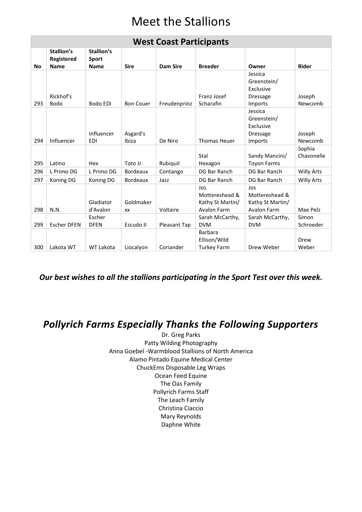## Meet the Stallions

|           | <b>West Coast Participants</b>          |                                           |                   |                 |                                                          |                                                                   |                      |  |
|-----------|-----------------------------------------|-------------------------------------------|-------------------|-----------------|----------------------------------------------------------|-------------------------------------------------------------------|----------------------|--|
| <b>No</b> | Stallion's<br>Registered<br><b>Name</b> | Stallion's<br><b>Sport</b><br><b>Name</b> | <b>Sire</b>       | <b>Dam Sire</b> | <b>Breeder</b>                                           | Owner                                                             | <b>Rider</b>         |  |
| 293       | Rickhof's<br><b>Bodo</b>                | Bodo EDI                                  | <b>Bon Couer</b>  | Freudenprinz    | Franz Josef<br>Scharafin                                 | Jessica<br>Greenstein/<br>Exclusive<br><b>Dressage</b><br>Imports | Joseph<br>Newcomb    |  |
| 294       | Influencer                              | Influencer<br><b>EDI</b>                  | Asgard's<br>Ibiza | De Niro         | <b>Thomas Heuer</b>                                      | Jessica<br>Greenstein/<br>Exclusive<br><b>Dressage</b><br>Imports | Joseph<br>Newcomb    |  |
| 295       | Latino                                  | Hex                                       | Toto Jr.          | Rubiquil        | Stal<br>Hexagon                                          | Sandy Mancini/<br><b>Toyon Farms</b>                              | Sophia<br>Chavonelle |  |
| 296       | L Primo DG                              | L Primo DG                                | <b>Bordeaux</b>   | Contango        | DG Bar Ranch                                             | DG Bar Ranch                                                      | <b>Willy Arts</b>    |  |
| 297       | Koning DG                               | Koning DG                                 | <b>Bordeaux</b>   | Jazz            | DG Bar Ranch                                             | DG Bar Ranch                                                      | <b>Willy Arts</b>    |  |
| 298       | N.N.                                    | Gladiator<br>d'Avalon                     | Goldmaker<br>XX   | Voltaire        | Jos<br>Mottereshead &<br>Kathy St Martin/<br>Avalon Farm | Jos<br>Mottereshead &<br>Kathy St Martin/<br>Avalon Farm          | Mae Pelz             |  |
| 299       | <b>Escher DFEN</b>                      | Escher<br><b>DFEN</b>                     | Escudo II         | Pleasant Tap    | Sarah McCarthy,<br><b>DVM</b>                            | Sarah McCarthy,<br><b>DVM</b>                                     | Simon<br>Schroeder   |  |
| 300       | Lakota WT                               | <b>WT Lakota</b>                          | Liocalyon         | Coriander       | <b>Barbara</b><br>Ellison/Wild<br><b>Turkey Farm</b>     | Drew Weber                                                        | Drew<br>Weber        |  |

*Our best wishes to all the stallions participating in the Sport Test over this week.*

## *Pollyrich Farms Especially Thanks the Following Supporters*

Dr. Greg Parks Patty Wilding Photography Anna Goebel -Warmblood Stallions of North America Alamo Pintado Equine Medical Center ChuckEms Disposable Leg Wraps Ocean Feed Equine The Oas Family Pollyrich Farms Staff The Leach Family Christina Ciaccio Mary Reynolds Daphne White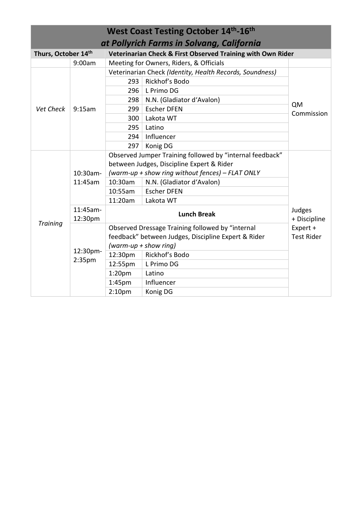|                     | <b>West Coast Testing October 14th-16th</b> |                                                  |                                                             |                   |  |  |
|---------------------|---------------------------------------------|--------------------------------------------------|-------------------------------------------------------------|-------------------|--|--|
|                     | at Pollyrich Farms in Solvang, California   |                                                  |                                                             |                   |  |  |
| Thurs, October 14th |                                             |                                                  | Veterinarian Check & First Observed Training with Own Rider |                   |  |  |
|                     | 9:00am                                      | Meeting for Owners, Riders, & Officials          |                                                             |                   |  |  |
|                     |                                             |                                                  | Veterinarian Check (Identity, Health Records, Soundness)    |                   |  |  |
|                     |                                             | 293                                              | Rickhof's Bodo                                              |                   |  |  |
|                     |                                             | 296                                              | L Primo DG                                                  |                   |  |  |
|                     |                                             | 298                                              | N.N. (Gladiator d'Avalon)                                   |                   |  |  |
| Vet Check           | 9:15am                                      | 299                                              | <b>Escher DFEN</b>                                          | QM                |  |  |
|                     |                                             | 300                                              | Lakota WT                                                   | Commission        |  |  |
|                     |                                             | 295                                              | Latino                                                      |                   |  |  |
|                     |                                             | 294                                              | Influencer                                                  |                   |  |  |
|                     |                                             | 297                                              | Konig DG                                                    |                   |  |  |
|                     |                                             |                                                  | Observed Jumper Training followed by "internal feedback"    |                   |  |  |
|                     |                                             | between Judges, Discipline Expert & Rider        |                                                             |                   |  |  |
|                     | 10:30am-                                    | (warm-up + show ring without fences) - FLAT ONLY |                                                             |                   |  |  |
|                     | 11:45am                                     | 10:30am                                          | N.N. (Gladiator d'Avalon)                                   |                   |  |  |
|                     |                                             | 10:55am                                          | <b>Escher DFEN</b>                                          |                   |  |  |
|                     |                                             | 11:20am                                          | Lakota WT                                                   |                   |  |  |
|                     | 11:45am-                                    |                                                  | <b>Lunch Break</b>                                          | Judges            |  |  |
| <b>Training</b>     | 12:30pm                                     |                                                  |                                                             | + Discipline      |  |  |
|                     |                                             |                                                  | Observed Dressage Training followed by "internal            | Expert +          |  |  |
|                     |                                             |                                                  | feedback" between Judges, Discipline Expert & Rider         | <b>Test Rider</b> |  |  |
|                     | 12:30pm-                                    | (warm-up + show ring)                            |                                                             |                   |  |  |
|                     | 2:35pm                                      | 12:30pm                                          | Rickhof's Bodo                                              |                   |  |  |
|                     |                                             | 12:55pm                                          | L Primo DG                                                  |                   |  |  |
|                     |                                             | 1:20 <sub>pm</sub>                               | Latino                                                      |                   |  |  |
|                     |                                             | 1:45 <sub>pm</sub>                               | Influencer                                                  |                   |  |  |
|                     |                                             | 2:10 <sub>pm</sub>                               | Konig DG                                                    |                   |  |  |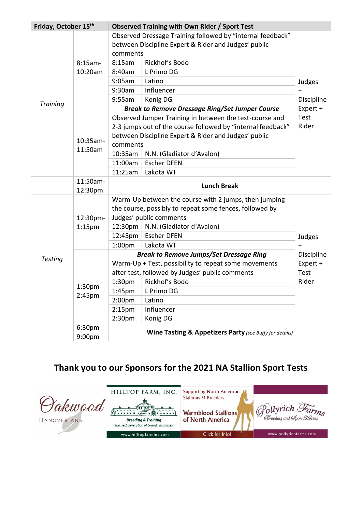| Friday, October 15th |                              |                                                            | <b>Observed Training with Own Rider / Sport Test</b>        |             |  |
|----------------------|------------------------------|------------------------------------------------------------|-------------------------------------------------------------|-------------|--|
|                      |                              | Observed Dressage Training followed by "internal feedback" |                                                             |             |  |
|                      |                              | between Discipline Expert & Rider and Judges' public       |                                                             |             |  |
|                      |                              |                                                            | comments                                                    |             |  |
|                      | $8:15am-$                    | 8:15am                                                     | Rickhof's Bodo                                              |             |  |
|                      | 10:20am                      | 8:40am                                                     | L Primo DG                                                  |             |  |
|                      |                              | 9:05am                                                     | Latino                                                      | Judges      |  |
|                      |                              | 9:30am                                                     | Influencer                                                  | $+$         |  |
| <b>Training</b>      |                              | 9:55am                                                     | Konig DG                                                    | Discipline  |  |
|                      |                              |                                                            | <b>Break to Remove Dressage Ring/Set Jumper Course</b>      | Expert +    |  |
|                      |                              |                                                            | Observed Jumper Training in between the test-course and     | <b>Test</b> |  |
|                      |                              |                                                            | 2-3 jumps out of the course followed by "internal feedback" | Rider       |  |
|                      | 10:35am-                     |                                                            | between Discipline Expert & Rider and Judges' public        |             |  |
|                      | 11:50am                      | comments                                                   |                                                             |             |  |
|                      |                              | 10:35am                                                    | N.N. (Gladiator d'Avalon)                                   |             |  |
|                      |                              | 11:00am                                                    | <b>Escher DFEN</b>                                          |             |  |
|                      |                              | 11:25am                                                    | Lakota WT                                                   |             |  |
|                      | 11:50am-<br>12:30pm          |                                                            | <b>Lunch Break</b>                                          |             |  |
|                      |                              |                                                            | Warm-Up between the course with 2 jumps, then jumping       |             |  |
|                      |                              |                                                            | the course, possibly to repeat some fences, followed by     |             |  |
|                      | 12:30pm-                     |                                                            | Judges' public comments                                     |             |  |
|                      | 1:15 <sub>pm</sub>           | 12:30pm                                                    | N.N. (Gladiator d'Avalon)                                   |             |  |
|                      |                              | 12:45pm                                                    | <b>Escher DFEN</b>                                          | Judges      |  |
|                      |                              | 1:00 <sub>pm</sub>                                         | Lakota WT                                                   | $+$         |  |
|                      |                              |                                                            | <b>Break to Remove Jumps/Set Dressage Ring</b>              | Discipline  |  |
| <b>Testing</b>       |                              |                                                            | Warm-Up + Test, possibility to repeat some movements        | Expert +    |  |
|                      |                              |                                                            | after test, followed by Judges' public comments             | <b>Test</b> |  |
|                      |                              | 1:30 <sub>pm</sub>                                         | Rickhof's Bodo                                              | Rider       |  |
|                      | 1:30 <sub>pm</sub><br>2:45pm | 1:45pm                                                     | L Primo DG                                                  |             |  |
|                      |                              | 2:00 <sub>pm</sub>                                         | Latino                                                      |             |  |
|                      |                              | 2:15 <sub>pm</sub>                                         | Influencer                                                  |             |  |
|                      |                              | 2:30 <sub>pm</sub>                                         | Konig DG                                                    |             |  |
|                      | 6:30 <sub>pm</sub><br>9:00pm |                                                            | Wine Tasting & Appetizers Party (see Buffy for details)     |             |  |

### **Thank you to our Sponsors for the 2021 NA Stallion Sport Tests**

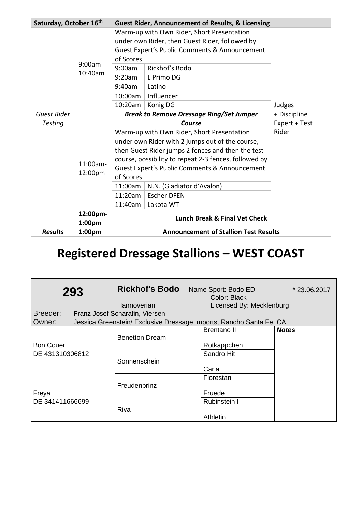| Saturday, October 16th        |                       | <b>Guest Rider, Announcement of Results, &amp; Licensing</b>                                                                                                                                                                                                                                                                                        |                                                           |                                              |  |  |
|-------------------------------|-----------------------|-----------------------------------------------------------------------------------------------------------------------------------------------------------------------------------------------------------------------------------------------------------------------------------------------------------------------------------------------------|-----------------------------------------------------------|----------------------------------------------|--|--|
|                               | $9:00am -$<br>10:40am | Warm-up with Own Rider, Short Presentation<br>under own Rider, then Guest Rider, followed by<br>Guest Expert's Public Comments & Announcement<br>of Scores<br>Rickhof's Bodo<br>9:00am<br>L Primo DG<br>9:20am<br>9:40am<br>Latino<br>10:00am<br>Influencer<br>10:20am<br>Konig DG                                                                  |                                                           | Judges                                       |  |  |
| Guest Rider<br><b>Testing</b> |                       |                                                                                                                                                                                                                                                                                                                                                     | <b>Break to Remove Dressage Ring/Set Jumper</b><br>Course | + Discipline<br>Expert + Test                |  |  |
|                               | 11:00am-<br>12:00pm   | Warm-up with Own Rider, Short Presentation<br>under own Rider with 2 jumps out of the course,<br>then Guest Rider jumps 2 fences and then the test-<br>course, possibility to repeat 2-3 fences, followed by<br>Guest Expert's Public Comments & Announcement<br>of Scores<br>11:00am<br>N.N. (Gladiator d'Avalon)<br><b>Escher DFEN</b><br>11:20am |                                                           | Rider                                        |  |  |
|                               |                       | 11:40am                                                                                                                                                                                                                                                                                                                                             | Lakota WT                                                 |                                              |  |  |
|                               | 12:00pm-<br>1:00pm    |                                                                                                                                                                                                                                                                                                                                                     |                                                           |                                              |  |  |
| <b>Results</b>                | 1:00 <sub>pm</sub>    |                                                                                                                                                                                                                                                                                                                                                     |                                                           | <b>Announcement of Stallion Test Results</b> |  |  |

## **Registered Dressage Stallions – WEST COAST**

|                  | 293 | <b>Rickhof's Bodo</b>          | Name Sport: Bodo EDI<br>Color: Black                                | *23.06.2017  |
|------------------|-----|--------------------------------|---------------------------------------------------------------------|--------------|
|                  |     | Hannoverian                    | Licensed By: Mecklenburg                                            |              |
| Breeder:         |     | Franz Josef Scharafin, Viersen |                                                                     |              |
| Owner:           |     |                                | Jessica Greenstein/ Exclusive Dressage Imports, Rancho Santa Fe, CA |              |
|                  |     |                                | <b>Brentano II</b>                                                  | <b>Notes</b> |
|                  |     | <b>Benetton Dream</b>          |                                                                     |              |
| <b>Bon Couer</b> |     |                                | Rotkappchen                                                         |              |
| DE 431310306812  |     |                                | Sandro Hit                                                          |              |
|                  |     | Sonnenschein                   |                                                                     |              |
|                  |     |                                | Carla                                                               |              |
|                  |     |                                | Florestan I                                                         |              |
|                  |     | Freudenprinz                   |                                                                     |              |
| Freya            |     |                                | Fruede                                                              |              |
| DE 341411666699  |     |                                | <b>Rubinstein I</b>                                                 |              |
|                  |     | <b>Riva</b>                    |                                                                     |              |
|                  |     |                                | Athletin                                                            |              |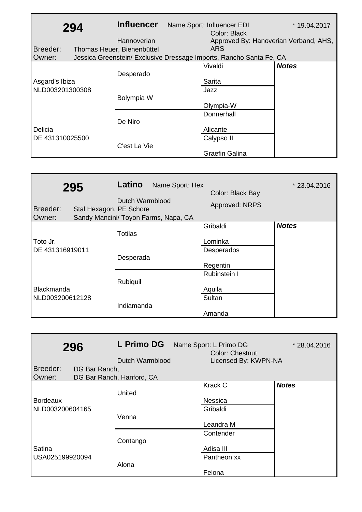|                 | 294 | <b>Influencer</b>          | Name Sport: Influencer EDI                                          | * 19.04.2017 |
|-----------------|-----|----------------------------|---------------------------------------------------------------------|--------------|
|                 |     |                            | Color: Black                                                        |              |
|                 |     | Hannoverian                | Approved By: Hanoverian Verband, AHS,                               |              |
| Breeder:        |     | Thomas Heuer, Bienenbüttel | <b>ARS</b>                                                          |              |
| Owner:          |     |                            | Jessica Greenstein/ Exclusive Dressage Imports, Rancho Santa Fe, CA |              |
|                 |     |                            | Vivaldi                                                             | <b>Notes</b> |
|                 |     | Desperado                  |                                                                     |              |
| Asgard's Ibiza  |     |                            | Sarita                                                              |              |
| NLD003201300308 |     |                            | Jazz                                                                |              |
|                 |     | Bolympia W                 |                                                                     |              |
|                 |     |                            | Olympia-W                                                           |              |
|                 |     |                            | Donnerhall                                                          |              |
|                 |     | De Niro                    |                                                                     |              |
| Delicia         |     |                            | Alicante                                                            |              |
| DE 431310025500 |     |                            | Calypso II                                                          |              |
|                 |     | C'est La Vie               |                                                                     |              |
|                 |     |                            | <b>Graefin Galina</b>                                               |              |

| 295<br>Breeder:<br>Owner:            | Latino<br>Dutch Warmblood<br>Stal Hexagon, PE Schore<br>Sandy Mancini/ Toyon Farms, Napa, CA | Name Sport: Hex | Color: Black Bay<br>Approved: NRPS            | * 23.04.2016 |
|--------------------------------------|----------------------------------------------------------------------------------------------|-----------------|-----------------------------------------------|--------------|
| Toto Jr.<br>DE 431316919011          | Totilas<br>Desperada                                                                         |                 | Gribaldi<br>Lominka<br>Desperados<br>Regentin | <b>Notes</b> |
| <b>Blackmanda</b><br>NLD003200612128 | Rubiquil<br>Indiamanda                                                                       |                 | Rubinstein I<br>Aquila<br>Sultan<br>Amanda    |              |

|                 | 296           | L Primo DG                | Name Sport: L Primo DG<br><b>Color: Chestnut</b> | * 28.04.2016 |
|-----------------|---------------|---------------------------|--------------------------------------------------|--------------|
|                 |               | Dutch Warmblood           | Licensed By: KWPN-NA                             |              |
| Breeder:        | DG Bar Ranch, |                           |                                                  |              |
| Owner:          |               | DG Bar Ranch, Hanford, CA |                                                  |              |
|                 |               |                           | <b>Krack C</b>                                   | <b>Notes</b> |
|                 |               | United                    |                                                  |              |
| <b>Bordeaux</b> |               |                           | <b>Nessica</b>                                   |              |
| NLD003200604165 |               |                           | Gribaldi                                         |              |
|                 |               | Venna                     |                                                  |              |
|                 |               |                           | Leandra M                                        |              |
|                 |               |                           | Contender                                        |              |
|                 |               | Contango                  |                                                  |              |
| Satina          |               |                           | Adisa III                                        |              |
| USA025199920094 |               |                           | Pantheon xx                                      |              |
|                 |               | Alona                     |                                                  |              |
|                 |               |                           | Felona                                           |              |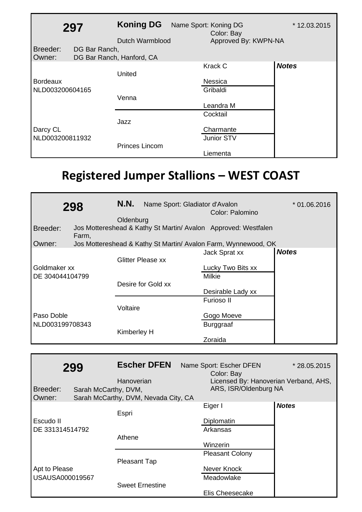|                 | 297           | <b>Koning DG</b><br>Dutch Warmblood | Name Sport: Koning DG<br>Color: Bay<br>Approved By: KWPN-NA | * 12.03.2015 |
|-----------------|---------------|-------------------------------------|-------------------------------------------------------------|--------------|
| Breeder:        | DG Bar Ranch, |                                     |                                                             |              |
| Owner:          |               | DG Bar Ranch, Hanford, CA           |                                                             |              |
|                 |               | United                              | Krack C                                                     | <b>Notes</b> |
| <b>Bordeaux</b> |               |                                     | Nessica                                                     |              |
| NLD003200604165 |               |                                     | Gribaldi                                                    |              |
|                 |               | Venna                               |                                                             |              |
|                 |               |                                     | Leandra M                                                   |              |
|                 |               |                                     | Cocktail                                                    |              |
|                 |               | Jazz                                |                                                             |              |
| Darcy CL        |               |                                     | Charmante                                                   |              |
| NLD003200811932 |               |                                     | Junior STV                                                  |              |
|                 |               | <b>Princes Lincom</b>               |                                                             |              |
|                 |               |                                     | Liementa                                                    |              |

## **Registered Jumper Stallions – WEST COAST**

|                 | 298   | N.N.        | Name Sport: Gladiator d'Avalon | Color: Palomino                                                | $*$ 01.06.2016 |
|-----------------|-------|-------------|--------------------------------|----------------------------------------------------------------|----------------|
|                 |       | Oldenburg   |                                |                                                                |                |
| Breeder:        | Farm, |             |                                | Jos Mottereshead & Kathy St Martin/ Avalon Approved: Westfalen |                |
| Owner:          |       |             |                                | Jos Mottereshead & Kathy St Martin/ Avalon Farm, Wynnewood, OK |                |
|                 |       |             |                                | Jack Sprat xx                                                  | <b>Notes</b>   |
|                 |       |             | <b>Glitter Please xx</b>       |                                                                |                |
| Goldmaker xx    |       |             |                                | Lucky Two Bits xx                                              |                |
| DE 304044104799 |       |             |                                | <b>Milkie</b>                                                  |                |
|                 |       |             | Desire for Gold xx             |                                                                |                |
|                 |       |             |                                | Desirable Lady xx                                              |                |
|                 |       |             |                                | Furioso II                                                     |                |
|                 |       | Voltaire    |                                |                                                                |                |
| Paso Doble      |       |             |                                | Gogo Moeve                                                     |                |
| NLD003199708343 |       |             |                                | <b>Burggraaf</b>                                               |                |
|                 |       | Kimberley H |                                |                                                                |                |
|                 |       |             |                                | Zoraida                                                        |                |

| Breeder:<br>Owner: | 299<br>Sarah McCarthy, DVM, | <b>Escher DFEN</b><br>Hanoverian<br>Sarah McCarthy, DVM, Nevada City, CA | Name Sport: Escher DFEN<br>Color: Bay<br>Licensed By: Hanoverian Verband, AHS,<br>ARS, ISR/Oldenburg NA | * 28.05.2015 |
|--------------------|-----------------------------|--------------------------------------------------------------------------|---------------------------------------------------------------------------------------------------------|--------------|
|                    |                             | Espri                                                                    | Eiger I                                                                                                 | <b>Notes</b> |
| Escudo II          |                             |                                                                          | Diplomatin                                                                                              |              |
| DE 331314514792    |                             |                                                                          | Arkansas                                                                                                |              |
|                    |                             | Athene                                                                   |                                                                                                         |              |
|                    |                             |                                                                          | Winzerin                                                                                                |              |
|                    |                             |                                                                          | <b>Pleasant Colony</b>                                                                                  |              |
|                    |                             | <b>Pleasant Tap</b>                                                      |                                                                                                         |              |
| Apt to Please      |                             |                                                                          | Never Knock                                                                                             |              |
| USAUSA000019567    |                             |                                                                          | Meadowlake                                                                                              |              |
|                    |                             | <b>Sweet Ernestine</b>                                                   |                                                                                                         |              |
|                    |                             |                                                                          | Elis Cheesecake                                                                                         |              |